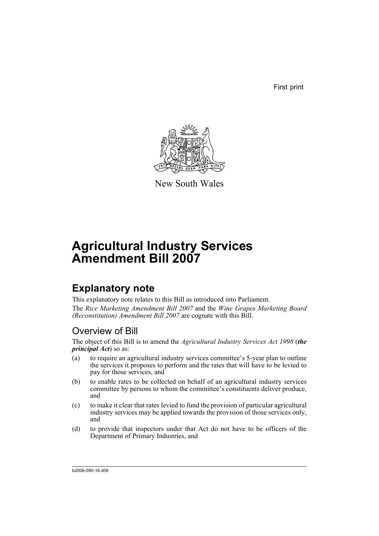First print



New South Wales

# **Agricultural Industry Services Amendment Bill 2007**

## **Explanatory note**

This explanatory note relates to this Bill as introduced into Parliament. The *Rice Marketing Amendment Bill 2007* and the *Wine Grapes Marketing Board (Reconstitution) Amendment Bill 2007* are cognate with this Bill.

## Overview of Bill

The object of this Bill is to amend the *Agricultural Industry Services Act 1998* (*the principal Act*) so as:

- (a) to require an agricultural industry services committee's 5-year plan to outline the services it proposes to perform and the rates that will have to be levied to pay for those services, and
- (b) to enable rates to be collected on behalf of an agricultural industry services committee by persons to whom the committee's constituents deliver produce, and
- (c) to make it clear that rates levied to fund the provision of particular agricultural industry services may be applied towards the provision of those services only, and
- (d) to provide that inspectors under that Act do not have to be officers of the Department of Primary Industries, and

b2006-090-18.d09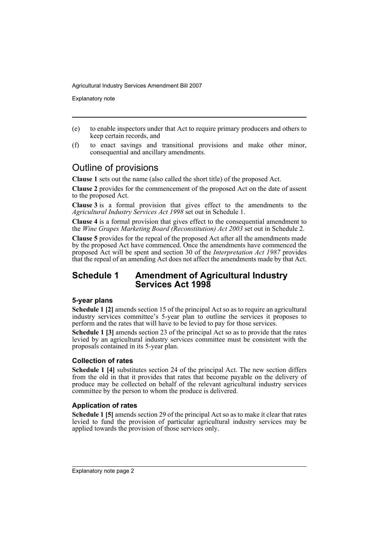Explanatory note

- (e) to enable inspectors under that Act to require primary producers and others to keep certain records, and
- (f) to enact savings and transitional provisions and make other minor, consequential and ancillary amendments.

## Outline of provisions

**Clause 1** sets out the name (also called the short title) of the proposed Act.

**Clause 2** provides for the commencement of the proposed Act on the date of assent to the proposed Act.

**Clause 3** is a formal provision that gives effect to the amendments to the *Agricultural Industry Services Act 1998* set out in Schedule 1.

**Clause 4** is a formal provision that gives effect to the consequential amendment to the *Wine Grapes Marketing Board (Reconstitution) Act 2003* set out in Schedule 2.

**Clause 5** provides for the repeal of the proposed Act after all the amendments made by the proposed Act have commenced. Once the amendments have commenced the proposed Act will be spent and section 30 of the *Interpretation Act 1987* provides that the repeal of an amending Act does not affect the amendments made by that Act.

### **Schedule 1 Amendment of Agricultural Industry Services Act 1998**

#### **5-year plans**

**Schedule 1 [2]** amends section 15 of the principal Act so as to require an agricultural industry services committee's 5-year plan to outline the services it proposes to perform and the rates that will have to be levied to pay for those services.

**Schedule 1 [3]** amends section 23 of the principal Act so as to provide that the rates levied by an agricultural industry services committee must be consistent with the proposals contained in its 5-year plan.

#### **Collection of rates**

**Schedule 1 [4]** substitutes section 24 of the principal Act. The new section differs from the old in that it provides that rates that become payable on the delivery of produce may be collected on behalf of the relevant agricultural industry services committee by the person to whom the produce is delivered.

#### **Application of rates**

**Schedule 1 [5]** amends section 29 of the principal Act so as to make it clear that rates levied to fund the provision of particular agricultural industry services may be applied towards the provision of those services only.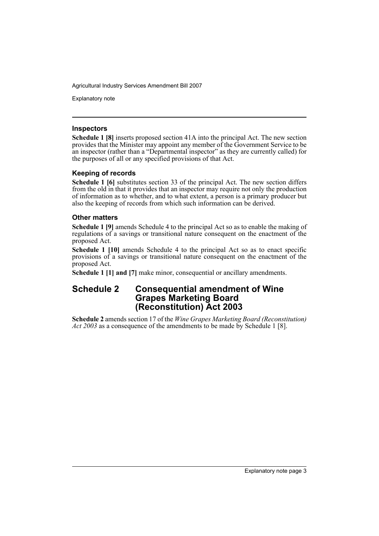Explanatory note

#### **Inspectors**

**Schedule 1 [8]** inserts proposed section 41A into the principal Act. The new section provides that the Minister may appoint any member of the Government Service to be an inspector (rather than a "Departmental inspector" as they are currently called) for the purposes of all or any specified provisions of that Act.

#### **Keeping of records**

**Schedule 1 [6]** substitutes section 33 of the principal Act. The new section differs from the old in that it provides that an inspector may require not only the production of information as to whether, and to what extent, a person is a primary producer but also the keeping of records from which such information can be derived.

#### **Other matters**

**Schedule 1 [9]** amends Schedule 4 to the principal Act so as to enable the making of regulations of a savings or transitional nature consequent on the enactment of the proposed Act.

**Schedule 1 [10]** amends Schedule 4 to the principal Act so as to enact specific provisions of a savings or transitional nature consequent on the enactment of the proposed Act.

**Schedule 1 [1] and [7]** make minor, consequential or ancillary amendments.

### **Schedule 2 Consequential amendment of Wine Grapes Marketing Board (Reconstitution) Act 2003**

**Schedule 2** amends section 17 of the *Wine Grapes Marketing Board (Reconstitution) Act 2003* as a consequence of the amendments to be made by Schedule 1 [8].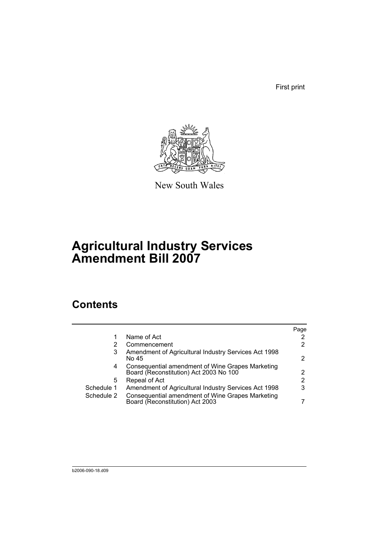First print



New South Wales

# **Agricultural Industry Services Amendment Bill 2007**

## **Contents**

|            |                                                                                            | Page                  |
|------------|--------------------------------------------------------------------------------------------|-----------------------|
|            | Name of Act                                                                                | $\mathbf{2}^{\prime}$ |
|            | Commencement                                                                               | $\mathbf{2}^{\prime}$ |
| 3          | Amendment of Agricultural Industry Services Act 1998<br>No 45                              | 2                     |
| 4          | Consequential amendment of Wine Grapes Marketing<br>Board (Reconstitution) Act 2003 No 100 | 2                     |
| 5          | Repeal of Act                                                                              | 2                     |
| Schedule 1 | Amendment of Agricultural Industry Services Act 1998                                       | 3                     |
| Schedule 2 | Consequential amendment of Wine Grapes Marketing<br>Board (Reconstitution) Act 2003        |                       |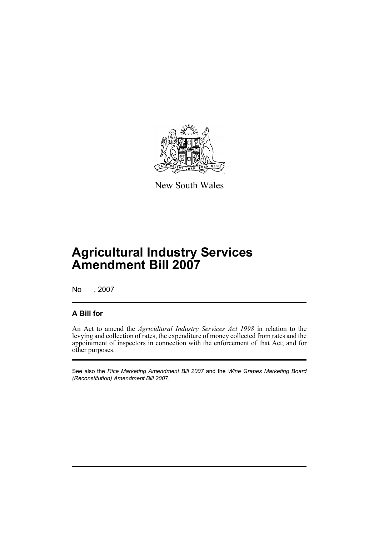

New South Wales

# **Agricultural Industry Services Amendment Bill 2007**

No , 2007

### **A Bill for**

An Act to amend the *Agricultural Industry Services Act 1998* in relation to the levying and collection of rates, the expenditure of money collected from rates and the appointment of inspectors in connection with the enforcement of that Act; and for other purposes.

See also the *Rice Marketing Amendment Bill 2007* and the *Wine Grapes Marketing Board (Reconstitution) Amendment Bill 2007*.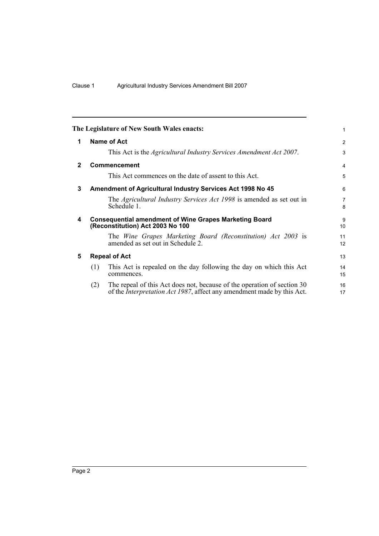<span id="page-7-4"></span><span id="page-7-3"></span><span id="page-7-2"></span><span id="page-7-1"></span><span id="page-7-0"></span>

|                |                      | The Legislature of New South Wales enacts:                                                                                                                | 1                    |  |
|----------------|----------------------|-----------------------------------------------------------------------------------------------------------------------------------------------------------|----------------------|--|
| 1              |                      | Name of Act                                                                                                                                               | 2                    |  |
|                |                      | This Act is the <i>Agricultural Industry Services Amendment Act 2007</i> .                                                                                | 3                    |  |
| $\overline{2}$ |                      | Commencement                                                                                                                                              | 4                    |  |
|                |                      | This Act commences on the date of assent to this Act.                                                                                                     | 5                    |  |
| 3              |                      | Amendment of Agricultural Industry Services Act 1998 No 45                                                                                                | 6                    |  |
|                |                      | The <i>Agricultural Industry Services Act 1998</i> is amended as set out in<br>Schedule 1.                                                                | $\overline{7}$<br>8  |  |
| 4              |                      | <b>Consequential amendment of Wine Grapes Marketing Board</b><br>(Reconstitution) Act 2003 No 100                                                         | 9<br>10 <sup>1</sup> |  |
|                |                      | The Wine Grapes Marketing Board (Reconstitution) Act 2003 is<br>amended as set out in Schedule 2.                                                         | 11<br>12             |  |
| 5              | <b>Repeal of Act</b> |                                                                                                                                                           |                      |  |
|                | (1)                  | This Act is repealed on the day following the day on which this Act<br>commences.                                                                         | 14<br>15             |  |
|                | (2)                  | The repeal of this Act does not, because of the operation of section 30<br>of the <i>Interpretation Act 1987</i> , affect any amendment made by this Act. | 16<br>17             |  |
|                |                      |                                                                                                                                                           |                      |  |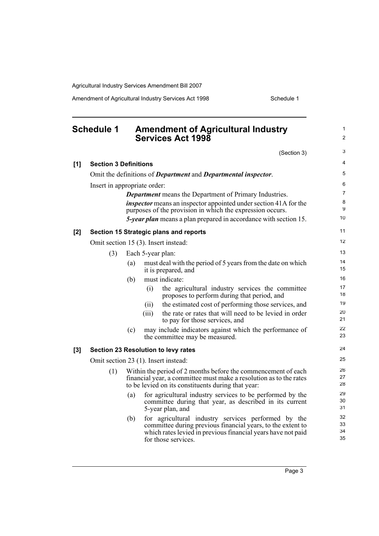Amendment of Agricultural Industry Services Act 1998 Schedule 1

<span id="page-8-0"></span>

| <b>Schedule 1</b> |                                      | <b>Amendment of Agricultural Industry</b><br><b>Services Act 1998</b>                                                                                                                     |                                                                                                                                                                                                           | $\mathbf{1}$<br>$\overline{2}$ |  |
|-------------------|--------------------------------------|-------------------------------------------------------------------------------------------------------------------------------------------------------------------------------------------|-----------------------------------------------------------------------------------------------------------------------------------------------------------------------------------------------------------|--------------------------------|--|
|                   |                                      |                                                                                                                                                                                           | (Section 3)                                                                                                                                                                                               | 3                              |  |
| [1]               | <b>Section 3 Definitions</b>         |                                                                                                                                                                                           |                                                                                                                                                                                                           | 4                              |  |
|                   |                                      |                                                                                                                                                                                           | Omit the definitions of <i>Department</i> and <i>Departmental inspector</i> .                                                                                                                             | 5                              |  |
|                   | Insert in appropriate order:         |                                                                                                                                                                                           |                                                                                                                                                                                                           | 6                              |  |
|                   |                                      |                                                                                                                                                                                           | <b>Department</b> means the Department of Primary Industries.                                                                                                                                             | $\overline{7}$                 |  |
|                   |                                      |                                                                                                                                                                                           | <i>inspector</i> means an inspector appointed under section 41A for the<br>purposes of the provision in which the expression occurs.                                                                      | 8<br>9                         |  |
|                   |                                      |                                                                                                                                                                                           | 5-year plan means a plan prepared in accordance with section 15.                                                                                                                                          | 10                             |  |
| $[2]$             |                                      |                                                                                                                                                                                           | Section 15 Strategic plans and reports                                                                                                                                                                    | 11                             |  |
|                   |                                      |                                                                                                                                                                                           | Omit section 15 (3). Insert instead:                                                                                                                                                                      | 12                             |  |
|                   | (3)                                  |                                                                                                                                                                                           | Each 5-year plan:                                                                                                                                                                                         | 13                             |  |
|                   |                                      | (a)                                                                                                                                                                                       | must deal with the period of 5 years from the date on which<br>it is prepared, and                                                                                                                        | 14<br>15                       |  |
|                   |                                      | (b)                                                                                                                                                                                       | must indicate:                                                                                                                                                                                            | 16                             |  |
|                   |                                      |                                                                                                                                                                                           | the agricultural industry services the committee<br>(i)<br>proposes to perform during that period, and                                                                                                    | 17<br>18                       |  |
|                   |                                      |                                                                                                                                                                                           | the estimated cost of performing those services, and<br>(ii)                                                                                                                                              | 19                             |  |
|                   |                                      |                                                                                                                                                                                           | the rate or rates that will need to be levied in order<br>(iii)<br>to pay for those services, and                                                                                                         | 20<br>21                       |  |
|                   |                                      | (c)                                                                                                                                                                                       | may include indicators against which the performance of<br>the committee may be measured.                                                                                                                 | 22<br>23                       |  |
| [3]               |                                      |                                                                                                                                                                                           | Section 23 Resolution to levy rates                                                                                                                                                                       | 24                             |  |
|                   | Omit section 23 (1). Insert instead: |                                                                                                                                                                                           |                                                                                                                                                                                                           |                                |  |
|                   | (1)                                  | Within the period of 2 months before the commencement of each<br>financial year, a committee must make a resolution as to the rates<br>to be levied on its constituents during that year: | 26<br>27<br>28                                                                                                                                                                                            |                                |  |
|                   |                                      | (a)                                                                                                                                                                                       | for agricultural industry services to be performed by the<br>committee during that year, as described in its current<br>5-year plan, and                                                                  | 29<br>30<br>31                 |  |
|                   |                                      | (b)                                                                                                                                                                                       | for agricultural industry services performed by the<br>committee during previous financial years, to the extent to<br>which rates levied in previous financial years have not paid<br>for those services. | 32<br>33<br>34<br>35           |  |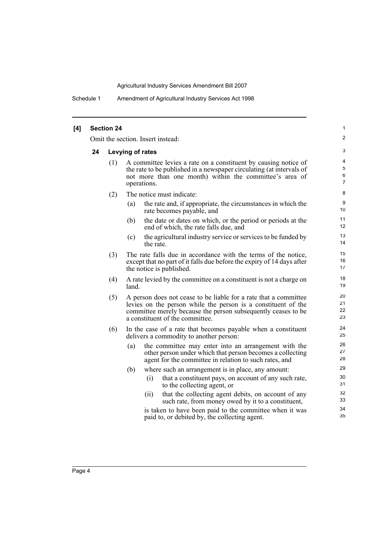Schedule 1 Amendment of Agricultural Industry Services Act 1998

| [4] |    | <b>Section 24</b>                 |                                                                                                                                                                                                                                       | 1                                       |  |  |
|-----|----|-----------------------------------|---------------------------------------------------------------------------------------------------------------------------------------------------------------------------------------------------------------------------------------|-----------------------------------------|--|--|
|     |    | Omit the section. Insert instead: |                                                                                                                                                                                                                                       |                                         |  |  |
|     | 24 | Levying of rates                  |                                                                                                                                                                                                                                       |                                         |  |  |
|     |    | (1)                               | A committee levies a rate on a constituent by causing notice of<br>the rate to be published in a newspaper circulating (at intervals of<br>not more than one month) within the committee's area of<br>operations.                     | 4<br>$\mathbf 5$<br>6<br>$\overline{7}$ |  |  |
|     |    | (2)                               | The notice must indicate:                                                                                                                                                                                                             | 8                                       |  |  |
|     |    |                                   | the rate and, if appropriate, the circumstances in which the<br>(a)<br>rate becomes payable, and                                                                                                                                      | 9<br>10                                 |  |  |
|     |    |                                   | the date or dates on which, or the period or periods at the<br>(b)<br>end of which, the rate falls due, and                                                                                                                           | 11<br>12                                |  |  |
|     |    |                                   | the agricultural industry service or services to be funded by<br>(c)<br>the rate.                                                                                                                                                     | 13<br>14                                |  |  |
|     |    | (3)                               | The rate falls due in accordance with the terms of the notice,<br>except that no part of it falls due before the expiry of 14 days after<br>the notice is published.                                                                  | 15<br>16<br>17                          |  |  |
|     |    | (4)                               | A rate levied by the committee on a constituent is not a charge on<br>land.                                                                                                                                                           | 18<br>19                                |  |  |
|     |    | (5)                               | A person does not cease to be liable for a rate that a committee<br>levies on the person while the person is a constituent of the<br>committee merely because the person subsequently ceases to be<br>a constituent of the committee. | 20<br>21<br>22<br>23                    |  |  |
|     |    | (6)                               | In the case of a rate that becomes payable when a constituent<br>delivers a commodity to another person:                                                                                                                              | 24<br>25                                |  |  |
|     |    |                                   | the committee may enter into an arrangement with the<br>(a)<br>other person under which that person becomes a collecting<br>agent for the committee in relation to such rates, and                                                    | 26<br>27<br>28                          |  |  |
|     |    |                                   | where such an arrangement is in place, any amount:<br>(b)                                                                                                                                                                             | 29                                      |  |  |
|     |    |                                   | that a constituent pays, on account of any such rate,<br>(i)<br>to the collecting agent, or                                                                                                                                           | 30<br>31                                |  |  |
|     |    |                                   | that the collecting agent debits, on account of any<br>(ii)<br>such rate, from money owed by it to a constituent,                                                                                                                     | 32<br>33                                |  |  |
|     |    |                                   | is taken to have been paid to the committee when it was<br>paid to, or debited by, the collecting agent.                                                                                                                              | 34<br>35                                |  |  |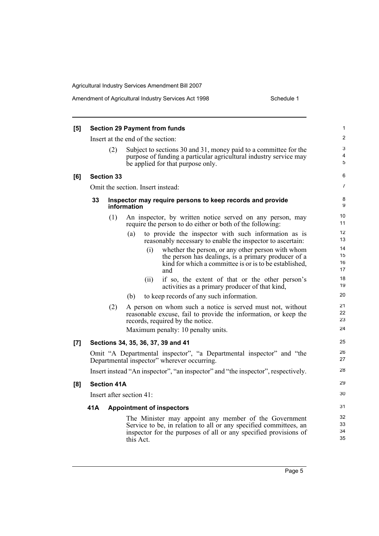|       |                                         |                    |                                                                                                                                                                                                             | 1                    |  |
|-------|-----------------------------------------|--------------------|-------------------------------------------------------------------------------------------------------------------------------------------------------------------------------------------------------------|----------------------|--|
| [5]   | <b>Section 29 Payment from funds</b>    |                    |                                                                                                                                                                                                             |                      |  |
|       | Insert at the end of the section:       |                    |                                                                                                                                                                                                             |                      |  |
|       |                                         | (2)                | Subject to sections 30 and 31, money paid to a committee for the<br>purpose of funding a particular agricultural industry service may<br>be applied for that purpose only.                                  | 3<br>4<br>5          |  |
| [6]   |                                         | <b>Section 33</b>  |                                                                                                                                                                                                             | 6                    |  |
|       |                                         |                    | Omit the section. Insert instead:                                                                                                                                                                           | $\overline{7}$       |  |
|       | 33                                      |                    | Inspector may require persons to keep records and provide<br>information                                                                                                                                    | 8<br>9               |  |
|       |                                         | (1)                | An inspector, by written notice served on any person, may<br>require the person to do either or both of the following:                                                                                      | 10<br>11             |  |
|       |                                         |                    | (a)<br>to provide the inspector with such information as is<br>reasonably necessary to enable the inspector to ascertain:                                                                                   | 12<br>13             |  |
|       |                                         |                    | whether the person, or any other person with whom<br>(i)<br>the person has dealings, is a primary producer of a<br>kind for which a committee is or is to be established,<br>and                            | 14<br>15<br>16<br>17 |  |
|       |                                         |                    | if so, the extent of that or the other person's<br>(i)<br>activities as a primary producer of that kind,                                                                                                    | 18<br>19             |  |
|       |                                         |                    | to keep records of any such information.<br>(b)                                                                                                                                                             | 20                   |  |
|       |                                         | (2)                | A person on whom such a notice is served must not, without<br>reasonable excuse, fail to provide the information, or keep the<br>records, required by the notice.                                           | 21<br>22<br>23<br>24 |  |
|       |                                         |                    | Maximum penalty: 10 penalty units.                                                                                                                                                                          |                      |  |
| $[7]$ |                                         |                    | Sections 34, 35, 36, 37, 39 and 41                                                                                                                                                                          | 25                   |  |
|       |                                         |                    | Omit "A Departmental inspector", "a Departmental inspector" and "the<br>Departmental inspector" wherever occurring.                                                                                         | 26<br>27             |  |
|       |                                         |                    | Insert instead "An inspector", "an inspector" and "the inspector", respectively.                                                                                                                            | 28                   |  |
| [8]   |                                         | <b>Section 41A</b> |                                                                                                                                                                                                             | 29                   |  |
|       | Insert after section 41:                |                    |                                                                                                                                                                                                             | 30                   |  |
|       | 41A<br><b>Appointment of inspectors</b> |                    |                                                                                                                                                                                                             |                      |  |
|       |                                         |                    | The Minister may appoint any member of the Government<br>Service to be, in relation to all or any specified committees, an<br>inspector for the purposes of all or any specified provisions of<br>this Act. | 32<br>33<br>34<br>35 |  |
|       |                                         |                    |                                                                                                                                                                                                             |                      |  |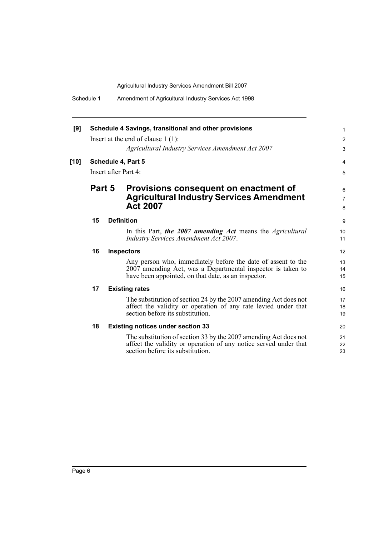| [9]    | Schedule 4 Savings, transitional and other provisions |  |                                                                                                                                                                                    |                          |  |
|--------|-------------------------------------------------------|--|------------------------------------------------------------------------------------------------------------------------------------------------------------------------------------|--------------------------|--|
|        |                                                       |  | Insert at the end of clause $1(1)$ :                                                                                                                                               | $\overline{2}$           |  |
|        |                                                       |  | Agricultural Industry Services Amendment Act 2007                                                                                                                                  | 3                        |  |
| $[10]$ |                                                       |  | Schedule 4, Part 5                                                                                                                                                                 | 4                        |  |
|        | Insert after Part 4:                                  |  |                                                                                                                                                                                    |                          |  |
|        | Part 5                                                |  | Provisions consequent on enactment of<br><b>Agricultural Industry Services Amendment</b><br><b>Act 2007</b>                                                                        | 6<br>$\overline{7}$<br>8 |  |
|        | 15                                                    |  | <b>Definition</b>                                                                                                                                                                  | 9                        |  |
|        |                                                       |  | In this Part, the 2007 amending Act means the Agricultural<br><b>Industry Services Amendment Act 2007.</b>                                                                         | 10<br>11                 |  |
|        | 16                                                    |  | <b>Inspectors</b>                                                                                                                                                                  | 12 <sup>2</sup>          |  |
|        |                                                       |  | Any person who, immediately before the date of assent to the<br>2007 amending Act, was a Departmental inspector is taken to<br>have been appointed, on that date, as an inspector. | 13<br>14<br>15           |  |
|        | 17                                                    |  | <b>Existing rates</b>                                                                                                                                                              | 16                       |  |
|        |                                                       |  | The substitution of section 24 by the 2007 amending Act does not<br>affect the validity or operation of any rate levied under that<br>section before its substitution.             | 17<br>18<br>19           |  |
|        | 18                                                    |  | <b>Existing notices under section 33</b>                                                                                                                                           | 20                       |  |
|        |                                                       |  | The substitution of section 33 by the 2007 amending Act does not<br>affect the validity or operation of any notice served under that<br>section before its substitution.           | 21<br>22<br>23           |  |